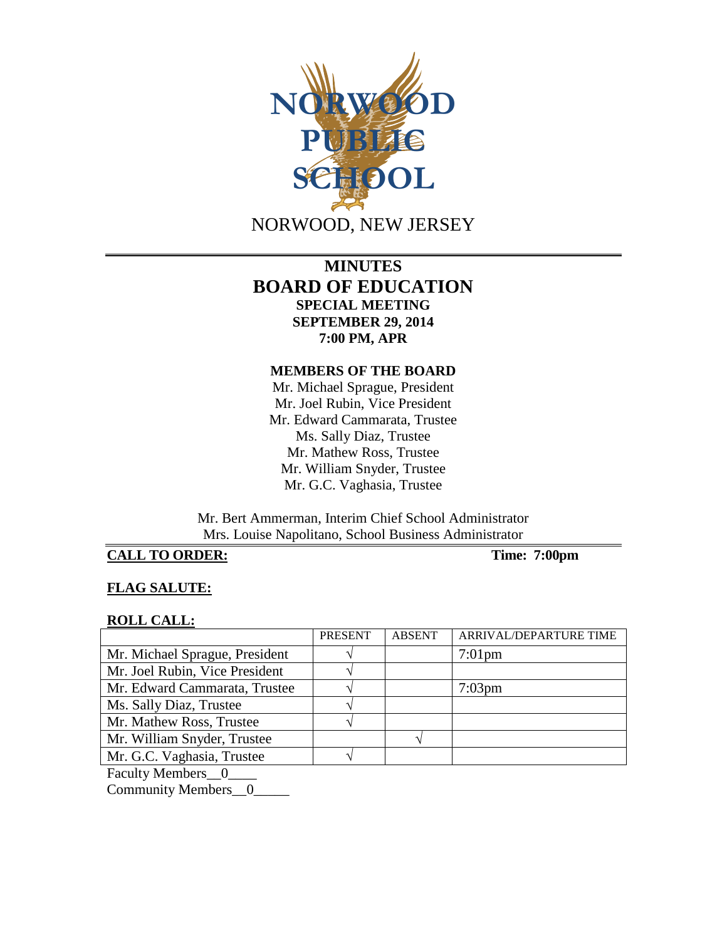

# **MINUTES BOARD OF EDUCATION SPECIAL MEETING SEPTEMBER 29, 2014 7:00 PM, APR**

#### **MEMBERS OF THE BOARD**

Mr. Michael Sprague, President Mr. Joel Rubin, Vice President Mr. Edward Cammarata, Trustee Ms. Sally Diaz, Trustee Mr. Mathew Ross, Trustee Mr. William Snyder, Trustee Mr. G.C. Vaghasia, Trustee

Mr. Bert Ammerman, Interim Chief School Administrator Mrs. Louise Napolitano, School Business Administrator

# **CALL TO ORDER: Time: 7:00pm**

## **FLAG SALUTE:**

#### **ROLL CALL:**

|                                     | <b>PRESENT</b> | <b>ABSENT</b> | ARRIVAL/DEPARTURE TIME |
|-------------------------------------|----------------|---------------|------------------------|
| Mr. Michael Sprague, President      |                |               | $7:01$ pm              |
| Mr. Joel Rubin, Vice President      |                |               |                        |
| Mr. Edward Cammarata, Trustee       |                |               | $7:03$ pm              |
| Ms. Sally Diaz, Trustee             |                |               |                        |
| Mr. Mathew Ross, Trustee            |                |               |                        |
| Mr. William Snyder, Trustee         |                |               |                        |
| Mr. G.C. Vaghasia, Trustee          |                |               |                        |
| $\mathbf{r}$ is the set of $\alpha$ |                |               |                        |

Faculty Members\_0\_

Community Members\_0\_